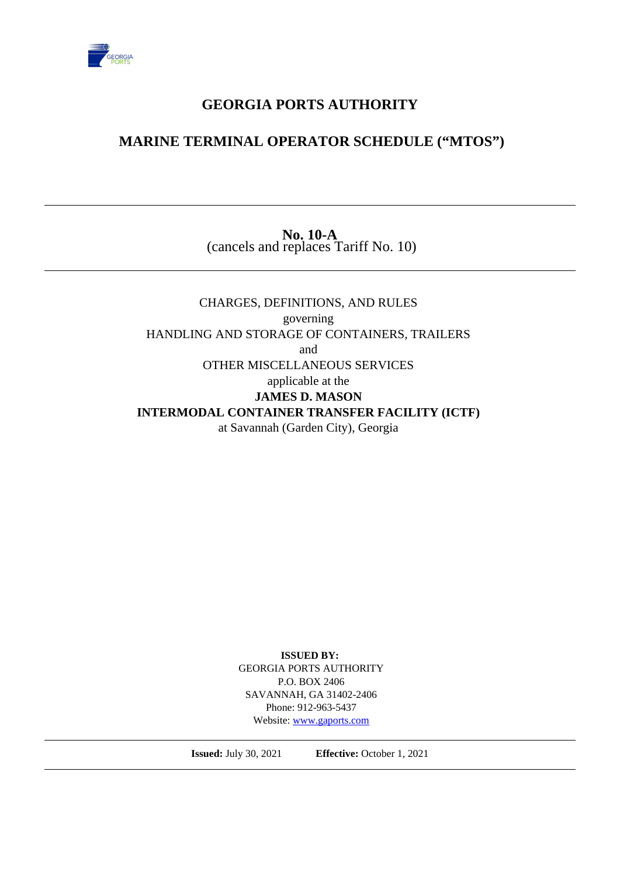

# **GEORGIA PORTS AUTHORITY**

# **MARINE TERMINAL OPERATOR SCHEDULE ("MTOS")**

#### **No. 10-A** (cancels and replaces Tariff No. 10)

## CHARGES, DEFINITIONS, AND RULES governing HANDLING AND STORAGE OF CONTAINERS, TRAILERS and OTHER MISCELLANEOUS SERVICES applicable at the **JAMES D. MASON INTERMODAL CONTAINER TRANSFER FACILITY (ICTF)** at Savannah (Garden City), Georgia

**ISSUED BY:** GEORGIA PORTS AUTHORITY P.O. BOX 2406 SAVANNAH, GA 31402-2406 Phone: 912-963-5437 Website:<www.gaports.com>

**Issued:** July 30, 2021 **Effective:** October 1, 2021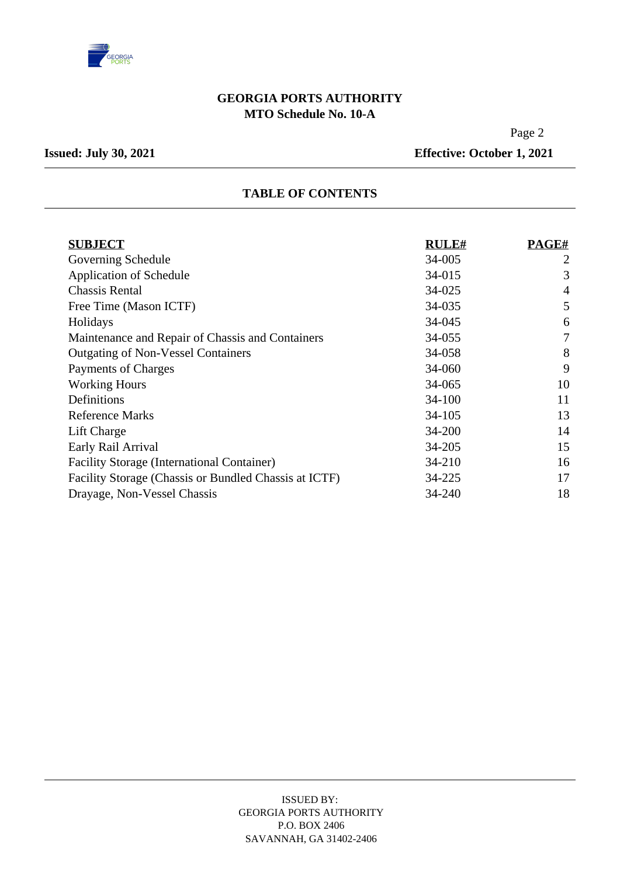

### **GEORGIA PORTS AUTHORITY MTO Schedule No. 10-A**

Page 2

**Issued: July 30, 2021 Effective: October 1, 2021** 

#### **TABLE OF CONTENTS**

| <b>SUBJECT</b>                                        | <b>RULE#</b> | PAGE#          |
|-------------------------------------------------------|--------------|----------------|
| Governing Schedule                                    | 34-005       | $\overline{2}$ |
| <b>Application of Schedule</b>                        | 34-015       | 3              |
| <b>Chassis Rental</b>                                 | 34-025       | 4              |
| Free Time (Mason ICTF)                                | 34-035       | 5              |
| Holidays                                              | 34-045       | 6              |
| Maintenance and Repair of Chassis and Containers      | 34-055       | $\overline{7}$ |
| <b>Outgating of Non-Vessel Containers</b>             | 34-058       | 8              |
| Payments of Charges                                   | 34-060       | 9              |
| <b>Working Hours</b>                                  | 34-065       | 10             |
| Definitions                                           | $34 - 100$   | 11             |
| <b>Reference Marks</b>                                | 34-105       | 13             |
| Lift Charge                                           | 34-200       | 14             |
| Early Rail Arrival                                    | 34-205       | 15             |
| <b>Facility Storage (International Container)</b>     | 34-210       | 16             |
| Facility Storage (Chassis or Bundled Chassis at ICTF) | 34-225       | 17             |
| Drayage, Non-Vessel Chassis                           | 34-240       | 18             |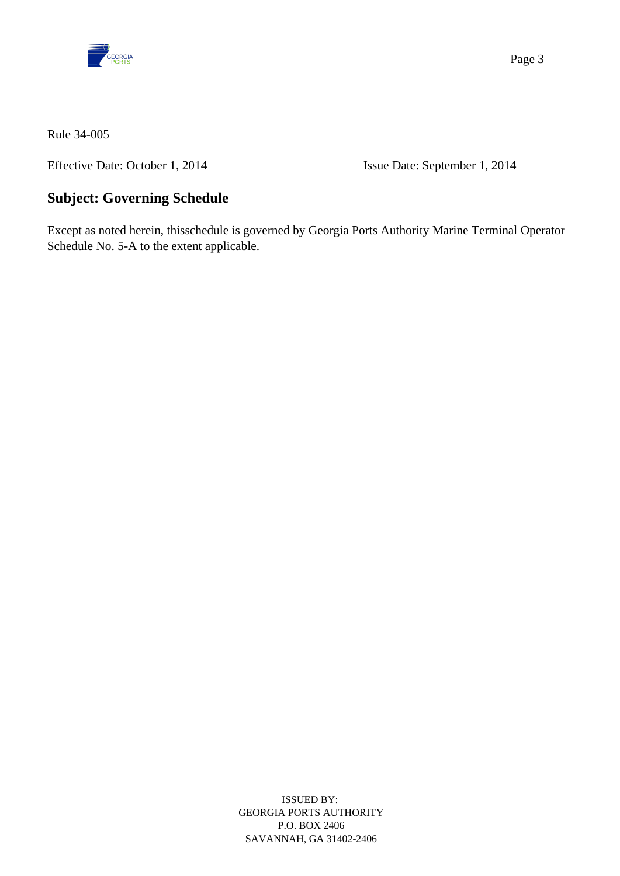

Effective Date: October 1, 2014 Issue Date: September 1, 2014

# **Subject: Governing Schedule**

Except as noted herein, thisschedule is governed by Georgia Ports Authority Marine Terminal Operator Schedule No. 5-A to the extent applicable.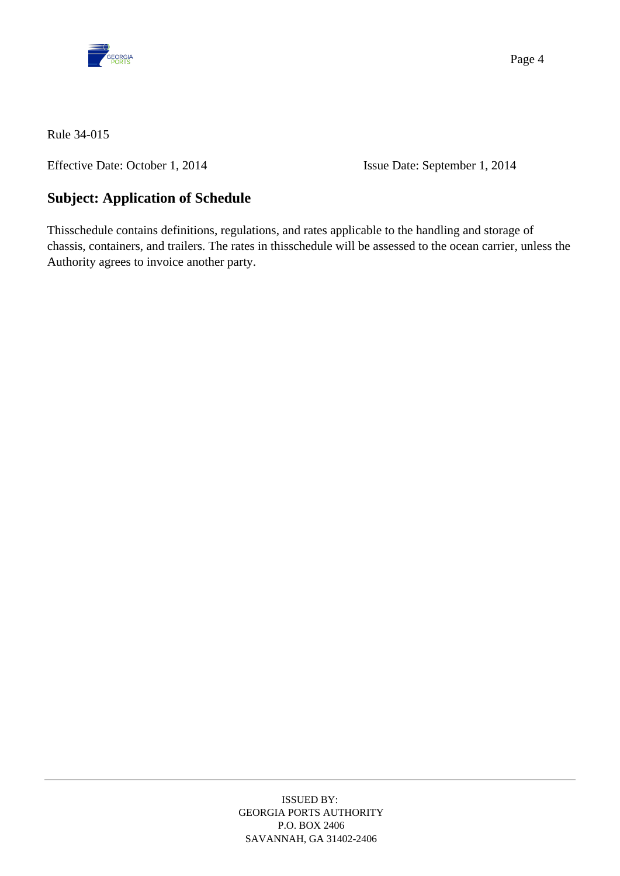

Effective Date: October 1, 2014 Issue Date: September 1, 2014

# **Subject: Application of Schedule**

Thisschedule contains definitions, regulations, and rates applicable to the handling and storage of chassis, containers, and trailers. The rates in thisschedule will be assessed to the ocean carrier, unless the Authority agrees to invoice another party.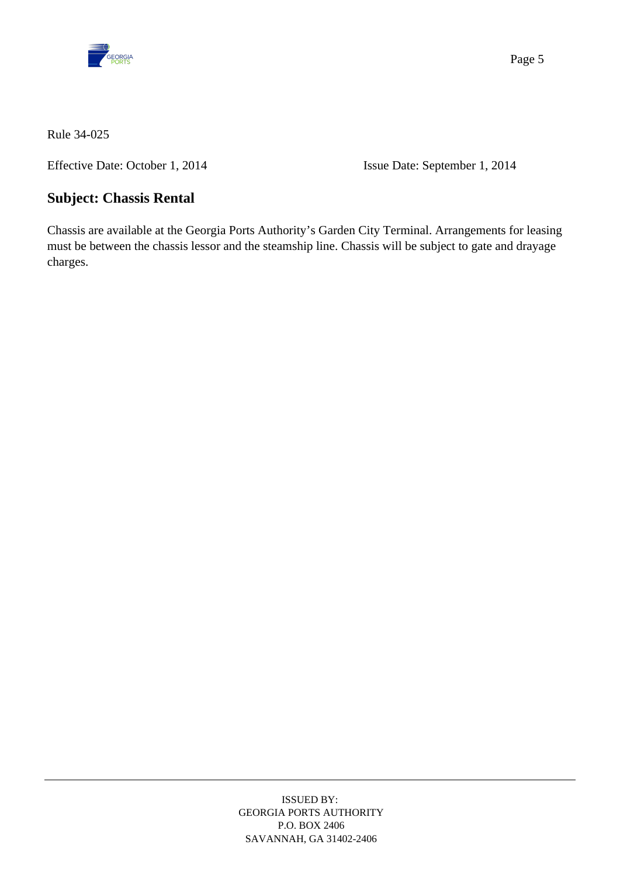

Effective Date: October 1, 2014 Issue Date: September 1, 2014

## **Subject: Chassis Rental**

Chassis are available at the Georgia Ports Authority's Garden City Terminal. Arrangements for leasing must be between the chassis lessor and the steamship line. Chassis will be subject to gate and drayage charges.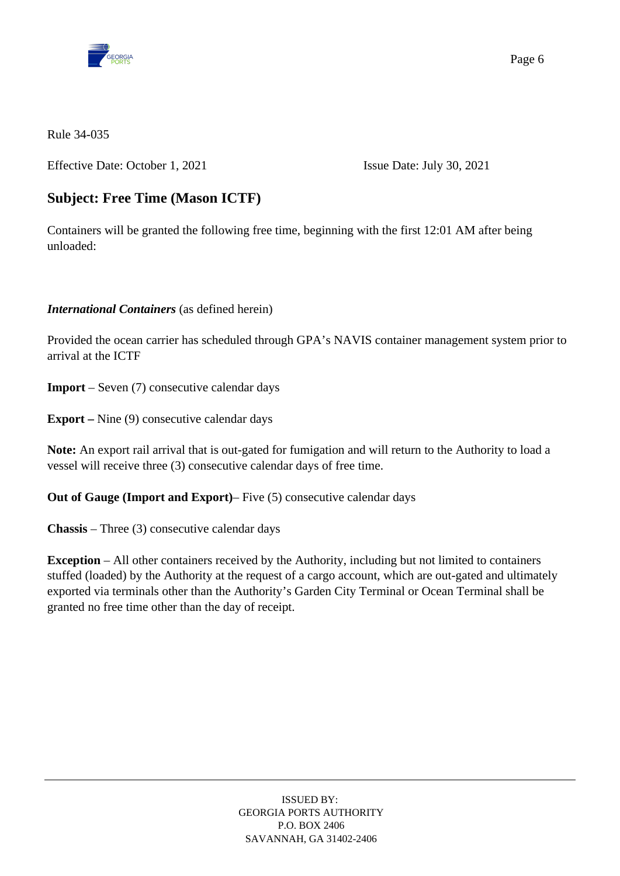

Effective Date: October 1, 2021 Issue Date: July 30, 2021

# **Subject: Free Time (Mason ICTF)**

Containers will be granted the following free time, beginning with the first 12:01 AM after being unloaded:

#### *International Containers* (as defined herein)

Provided the ocean carrier has scheduled through GPA's NAVIS container management system prior to arrival at the ICTF

**Import** – Seven (7) consecutive calendar days

**Export –** Nine (9) consecutive calendar days

**Note:** An export rail arrival that is out-gated for fumigation and will return to the Authority to load a vessel will receive three (3) consecutive calendar days of free time.

**Out of Gauge (Import and Export)**– Five (5) consecutive calendar days

**Chassis** – Three (3) consecutive calendar days

**Exception** – All other containers received by the Authority, including but not limited to containers stuffed (loaded) by the Authority at the request of a cargo account, which are out-gated and ultimately exported via terminals other than the Authority's Garden City Terminal or Ocean Terminal shall be granted no free time other than the day of receipt.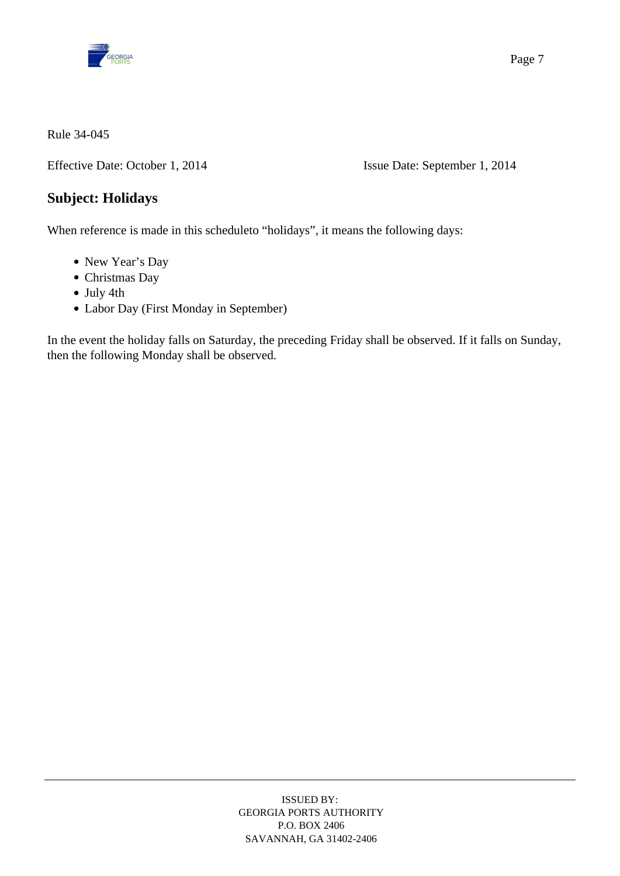

Effective Date: October 1, 2014 Issue Date: September 1, 2014

## **Subject: Holidays**

When reference is made in this scheduleto "holidays", it means the following days:

- New Year's Day
- Christmas Day
- July 4th
- Labor Day (First Monday in September)

In the event the holiday falls on Saturday, the preceding Friday shall be observed. If it falls on Sunday, then the following Monday shall be observed.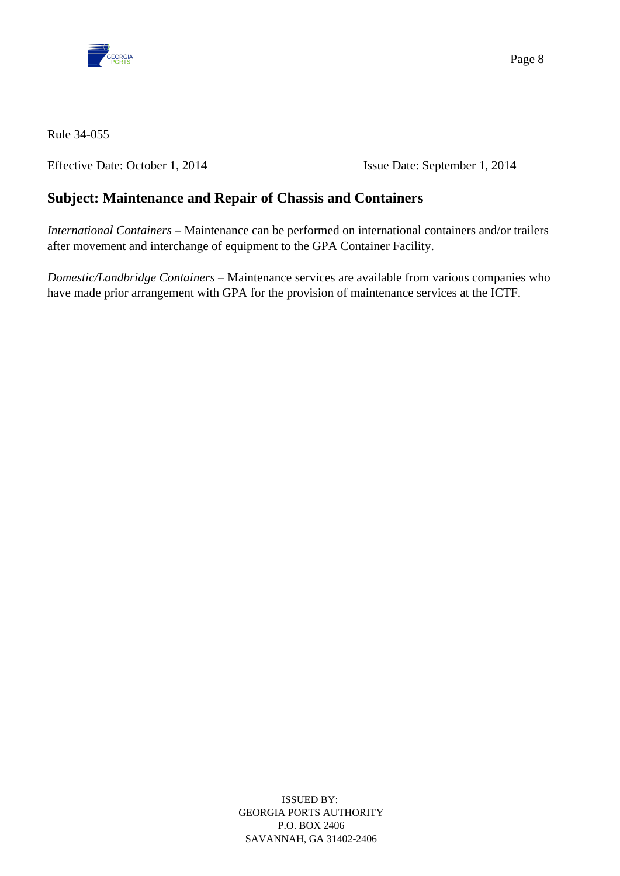

Effective Date: October 1, 2014 Issue Date: September 1, 2014

# **Subject: Maintenance and Repair of Chassis and Containers**

*International Containers* – Maintenance can be performed on international containers and/or trailers after movement and interchange of equipment to the GPA Container Facility.

*Domestic/Landbridge Containers* – Maintenance services are available from various companies who have made prior arrangement with GPA for the provision of maintenance services at the ICTF.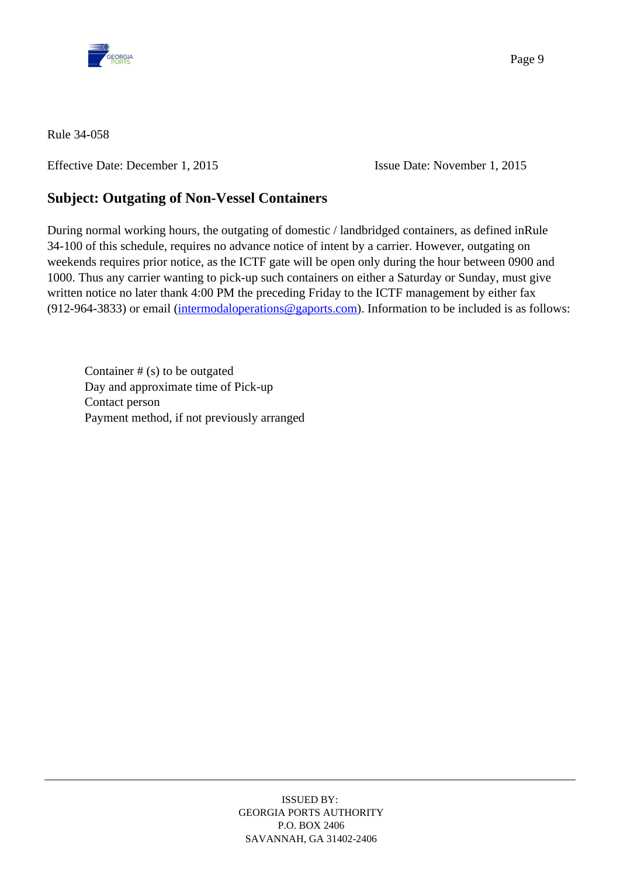

Effective Date: December 1, 2015 Issue Date: November 1, 2015

## **Subject: Outgating of Non-Vessel Containers**

During normal working hours, the outgating of domestic / landbridged containers, as defined inRule 34-100 of this schedule, requires no advance notice of intent by a carrier. However, outgating on weekends requires prior notice, as the ICTF gate will be open only during the hour between 0900 and 1000. Thus any carrier wanting to pick-up such containers on either a Saturday or Sunday, must give written notice no later thank 4:00 PM the preceding Friday to the ICTF management by either fax (912-964-3833) or email ([intermodaloperations@gaports.com](mailto:intermodaloperations@gaports.com)). Information to be included is as follows:

Container  $# (s)$  to be outgated Day and approximate time of Pick-up Contact person Payment method, if not previously arranged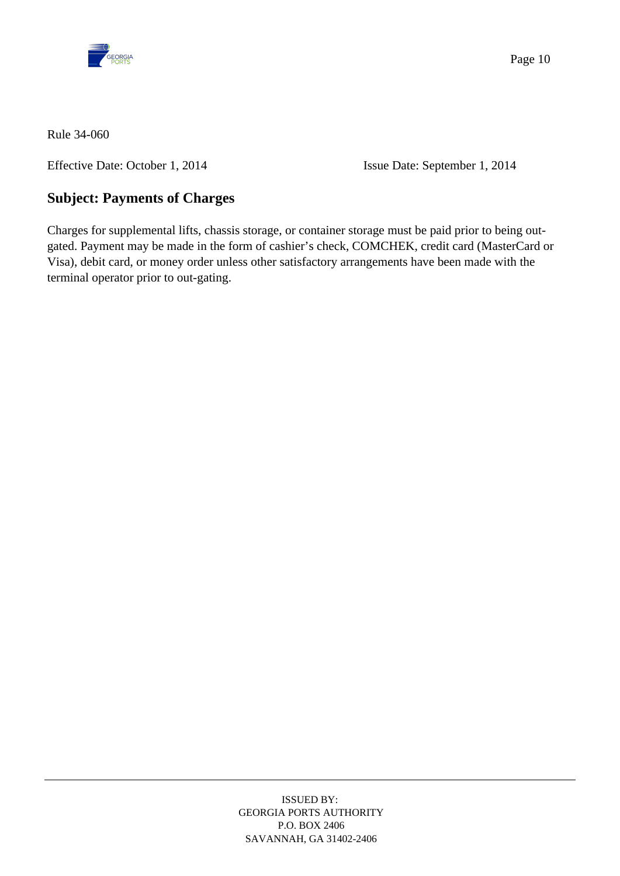

Effective Date: October 1, 2014 Issue Date: September 1, 2014

# **Subject: Payments of Charges**

Charges for supplemental lifts, chassis storage, or container storage must be paid prior to being outgated. Payment may be made in the form of cashier's check, COMCHEK, credit card (MasterCard or Visa), debit card, or money order unless other satisfactory arrangements have been made with the terminal operator prior to out-gating.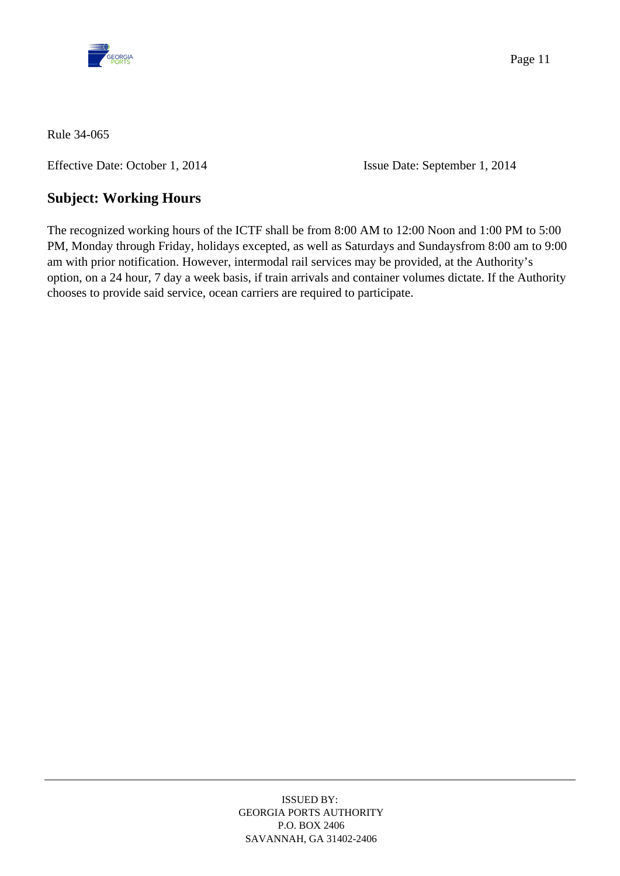

Effective Date: October 1, 2014 Issue Date: September 1, 2014

# **Subject: Working Hours**

The recognized working hours of the ICTF shall be from 8:00 AM to 12:00 Noon and 1:00 PM to 5:00 PM, Monday through Friday, holidays excepted, as well as Saturdays and Sundaysfrom 8:00 am to 9:00 am with prior notification. However, intermodal rail services may be provided, at the Authority's option, on a 24 hour, 7 day a week basis, if train arrivals and container volumes dictate. If the Authority chooses to provide said service, ocean carriers are required to participate.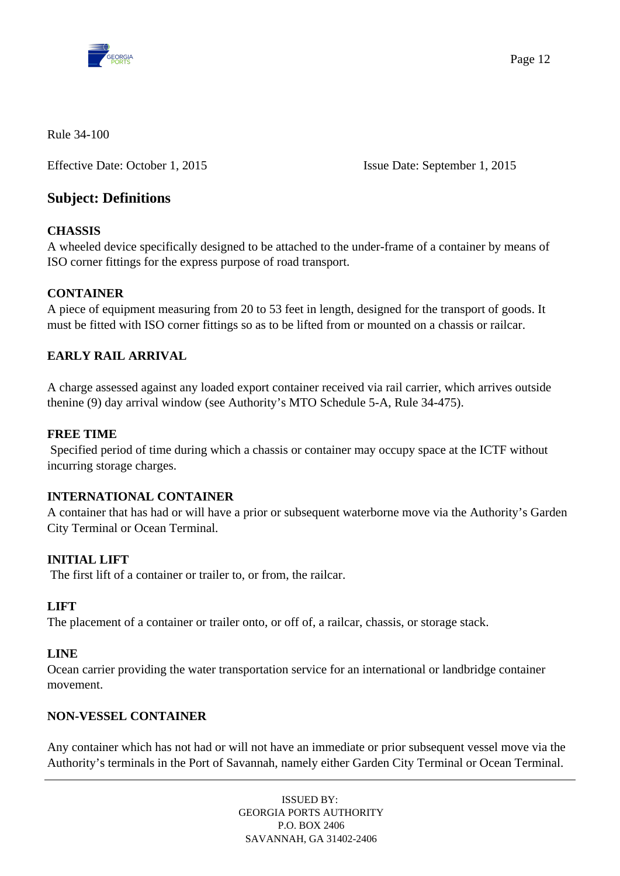

Effective Date: October 1, 2015 Issue Date: September 1, 2015

## **Subject: Definitions**

#### **CHASSIS**

A wheeled device specifically designed to be attached to the under-frame of a container by means of ISO corner fittings for the express purpose of road transport.

#### **CONTAINER**

A piece of equipment measuring from 20 to 53 feet in length, designed for the transport of goods. It must be fitted with ISO corner fittings so as to be lifted from or mounted on a chassis or railcar.

## **EARLY RAIL ARRIVAL**

A charge assessed against any loaded export container received via rail carrier, which arrives outside thenine (9) day arrival window (see Authority's MTO Schedule 5-A, Rule 34-475).

#### **FREE TIME**

Specified period of time during which a chassis or container may occupy space at the ICTF without incurring storage charges.

#### **INTERNATIONAL CONTAINER**

A container that has had or will have a prior or subsequent waterborne move via the Authority's Garden City Terminal or Ocean Terminal.

#### **INITIAL LIFT**

The first lift of a container or trailer to, or from, the railcar.

#### **LIFT**

The placement of a container or trailer onto, or off of, a railcar, chassis, or storage stack.

#### **LINE**

Ocean carrier providing the water transportation service for an international or landbridge container movement.

#### **NON-VESSEL CONTAINER**

Any container which has not had or will not have an immediate or prior subsequent vessel move via the Authority's terminals in the Port of Savannah, namely either Garden City Terminal or Ocean Terminal.

> ISSUED BY: GEORGIA PORTS AUTHORITY P.O. BOX 2406 SAVANNAH, GA 31402-2406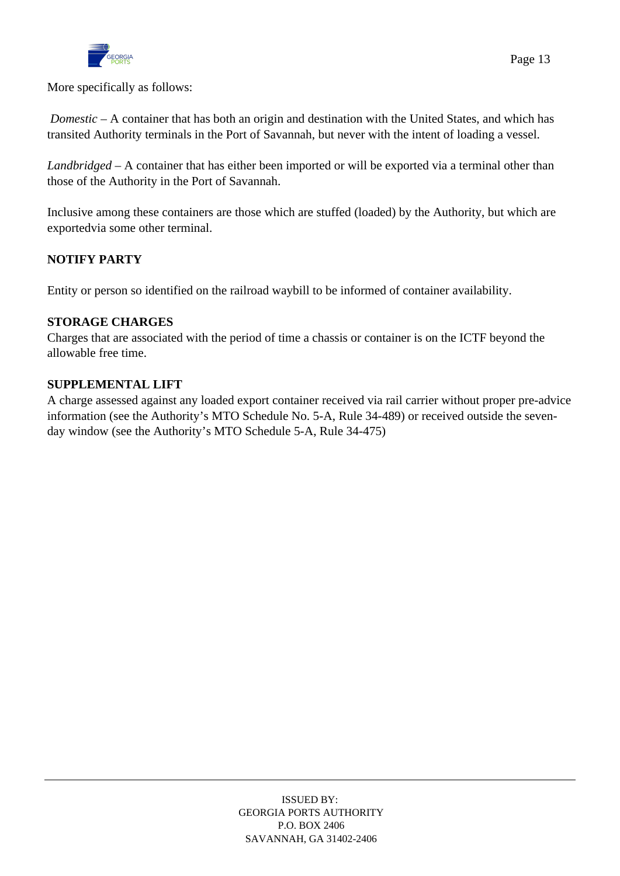

More specifically as follows:

 *Domestic* – A container that has both an origin and destination with the United States, and which has transited Authority terminals in the Port of Savannah, but never with the intent of loading a vessel.

*Landbridged* – A container that has either been imported or will be exported via a terminal other than those of the Authority in the Port of Savannah.

Inclusive among these containers are those which are stuffed (loaded) by the Authority, but which are exportedvia some other terminal.

#### **NOTIFY PARTY**

Entity or person so identified on the railroad waybill to be informed of container availability.

#### **STORAGE CHARGES**

Charges that are associated with the period of time a chassis or container is on the ICTF beyond the allowable free time.

#### **SUPPLEMENTAL LIFT**

A charge assessed against any loaded export container received via rail carrier without proper pre-advice information (see the Authority's MTO Schedule No. 5-A, Rule 34-489) or received outside the sevenday window (see the Authority's MTO Schedule 5-A, Rule 34-475)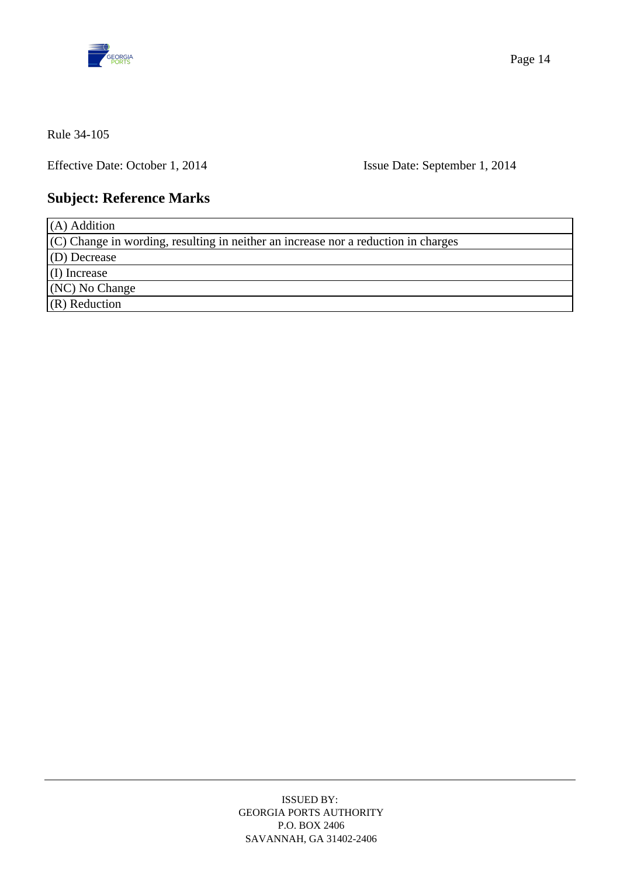

Effective Date: October 1, 2014 Issue Date: September 1, 2014

# **Subject: Reference Marks**

| $(A)$ Addition                                                                     |
|------------------------------------------------------------------------------------|
| (C) Change in wording, resulting in neither an increase nor a reduction in charges |
| $(D)$ Decrease                                                                     |
| $(I)$ Increase                                                                     |
| (NC) No Change                                                                     |
| $(R)$ Reduction                                                                    |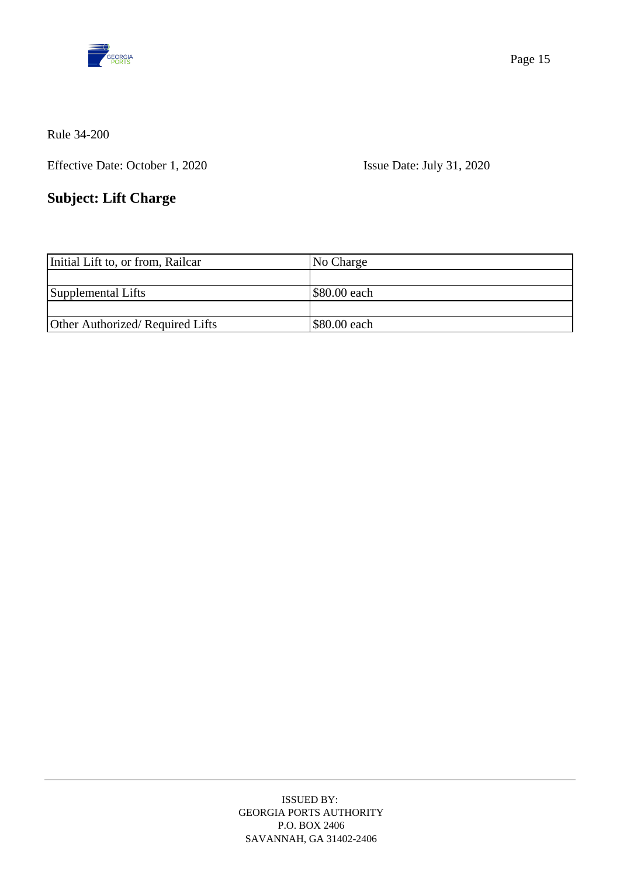

Effective Date: October 1, 2020 Issue Date: July 31, 2020

# **Subject: Lift Charge**

| Initial Lift to, or from, Railcar | No Charge    |
|-----------------------------------|--------------|
|                                   |              |
| Supplemental Lifts                | \$80.00 each |
|                                   |              |
| Other Authorized/Required Lifts   | \$80.00 each |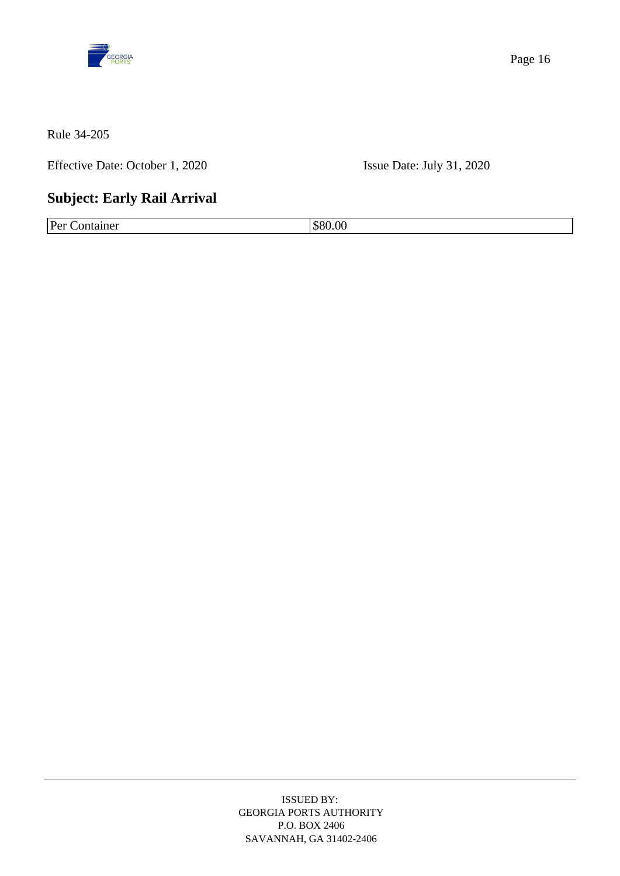

Effective Date: October 1, 2020 Issue Date: July 31, 2020

# **Subject: Early Rail Arrival**

Per Container \$80.00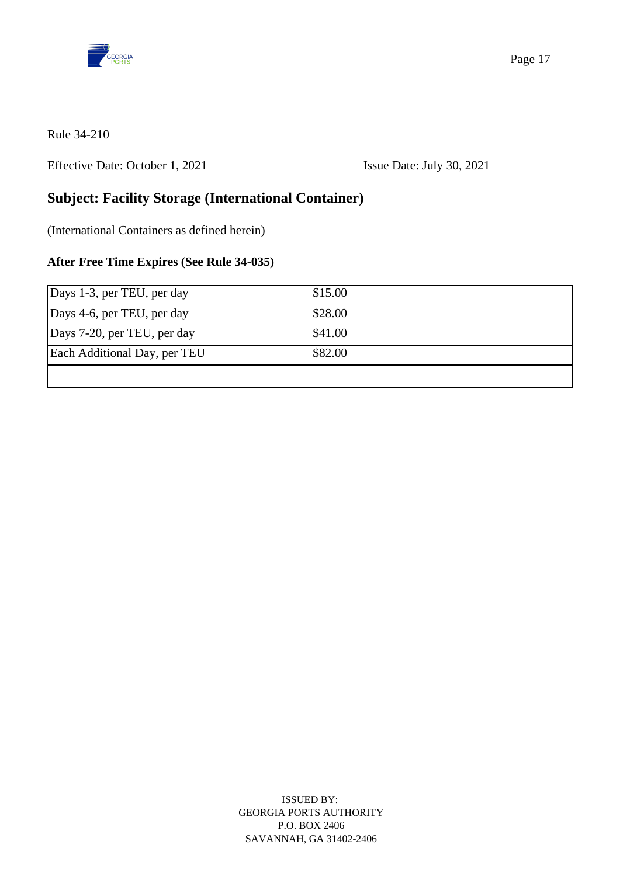

Effective Date: October 1, 2021 Issue Date: July 30, 2021

## **Subject: Facility Storage (International Container)**

(International Containers as defined herein)

## **After Free Time Expires (See Rule 34-035)**

| Days 1-3, per TEU, per day   | \$15.00            |
|------------------------------|--------------------|
| Days 4-6, per TEU, per day   | \$28.00            |
| Days 7-20, per TEU, per day  | $\frac{$41.00}{ }$ |
| Each Additional Day, per TEU | \$82.00            |
|                              |                    |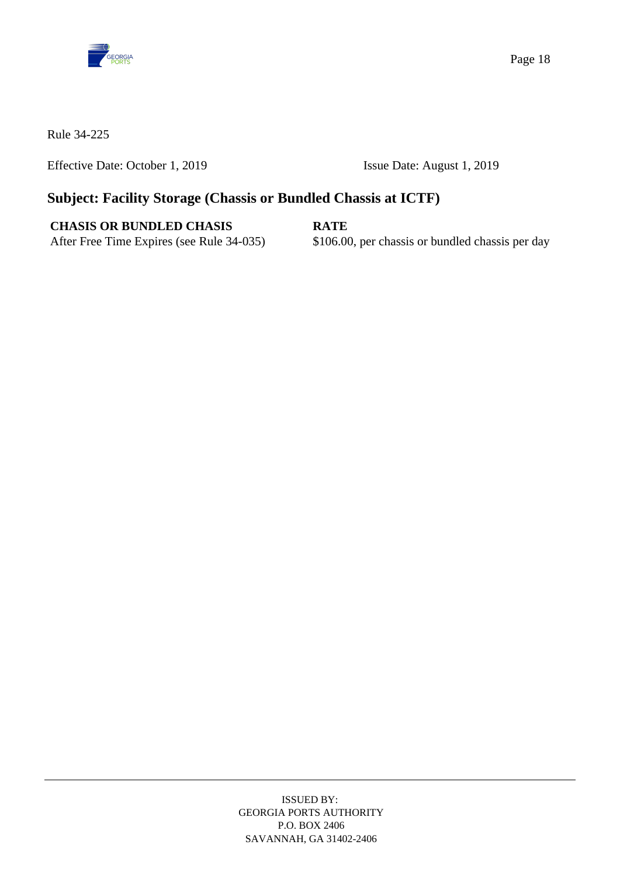

Effective Date: October 1, 2019 Issue Date: August 1, 2019

## **Subject: Facility Storage (Chassis or Bundled Chassis at ICTF)**

## **CHASIS OR BUNDLED CHASIS RATE**

After Free Time Expires (see Rule 34-035) \$106.00, per chassis or bundled chassis per day